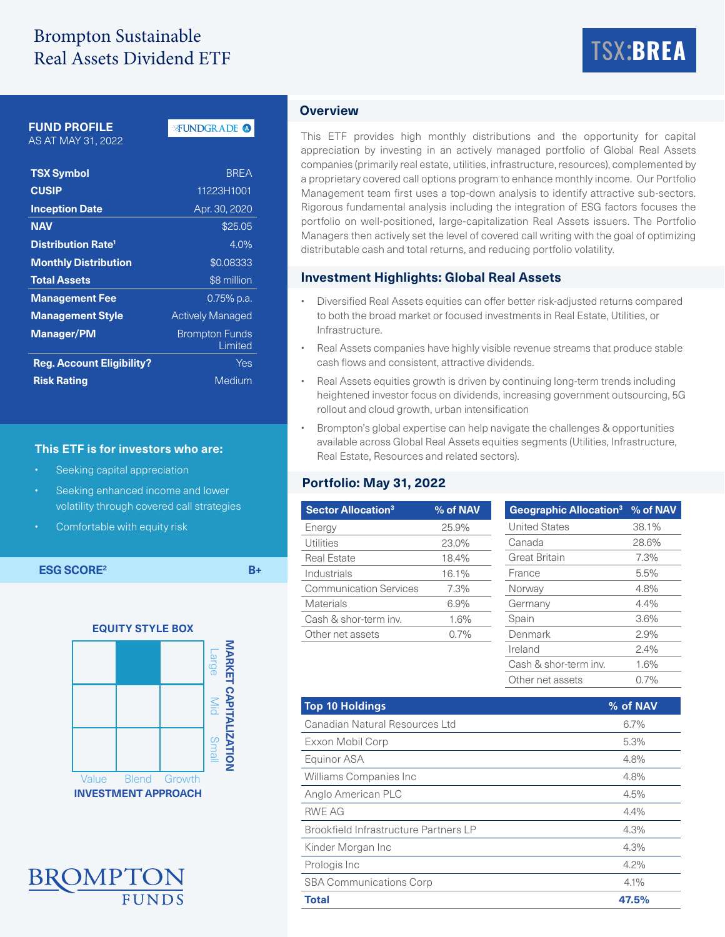# Brompton Sustainable Real Assets Dividend ETF

# TSX:**BREA**

## **FUND PROFILE**

AS AT MAY 31, 2022

### FUNDGRADE<sup>O</sup>

| <b>TSX Symbol</b>                    | <b>BRFA</b>                      |  |  |  |
|--------------------------------------|----------------------------------|--|--|--|
| <b>CUSIP</b>                         | 11223H1001                       |  |  |  |
| <b>Inception Date</b>                | Apr. 30, 2020                    |  |  |  |
| <b>NAV</b>                           | \$25.05                          |  |  |  |
| <b>Distribution Rate<sup>1</sup></b> | 4.0%                             |  |  |  |
| <b>Monthly Distribution</b>          | \$0.08333                        |  |  |  |
| <b>Total Assets</b>                  | \$8 million                      |  |  |  |
| <b>Management Fee</b>                | 0.75% p.a.                       |  |  |  |
| <b>Management Style</b>              | <b>Actively Managed</b>          |  |  |  |
| <b>Manager/PM</b>                    | <b>Brompton Funds</b><br>Limited |  |  |  |
| <b>Reg. Account Eligibility?</b>     | Yes                              |  |  |  |
| <b>Risk Rating</b>                   | Medium                           |  |  |  |

#### **This ETF is for investors who are:**

- Seeking capital appreciation
- Seeking enhanced income and lower volatility through covered call strategies
- Comfortable with equity risk

**ESG SCORE<sup>2</sup> B+** 





#### **Overview**

This ETF provides high monthly distributions and the opportunity for capital appreciation by investing in an actively managed portfolio of Global Real Assets companies (primarily real estate, utilities, infrastructure, resources), complemented by a proprietary covered call options program to enhance monthly income. Our Portfolio Management team first uses a top-down analysis to identify attractive sub-sectors. Rigorous fundamental analysis including the integration of ESG factors focuses the portfolio on well-positioned, large-capitalization Real Assets issuers. The Portfolio Managers then actively set the level of covered call writing with the goal of optimizing distributable cash and total returns, and reducing portfolio volatility.

#### **Investment Highlights: Global Real Assets**

- Diversified Real Assets equities can offer better risk-adjusted returns compared to both the broad market or focused investments in Real Estate, Utilities, or Infrastructure.
- Real Assets companies have highly visible revenue streams that produce stable cash flows and consistent, attractive dividends.
- Real Assets equities growth is driven by continuing long-term trends including heightened investor focus on dividends, increasing government outsourcing, 5G rollout and cloud growth, urban intensification
- Brompton's global expertise can help navigate the challenges & opportunities available across Global Real Assets equities segments (Utilities, Infrastructure, Real Estate, Resources and related sectors).

#### **Portfolio: May 31, 2022**

| <b>Sector Allocation<sup>3</sup></b> | % of NAV | Geographic Allocation <sup>3</sup> % of NAV                                                                                        |
|--------------------------------------|----------|------------------------------------------------------------------------------------------------------------------------------------|
| Energy                               | 25.9%    | <b>United States</b>                                                                                                               |
| <b>Utilities</b>                     | 23.0%    | Canada                                                                                                                             |
| <b>Real Estate</b>                   | 18.4%    | <b>Great Britain</b>                                                                                                               |
| Industrials                          | 16.1%    | France                                                                                                                             |
| <b>Communication Services</b>        | 7.3%     | Norway                                                                                                                             |
| Materials                            | 6.9%     | Germany                                                                                                                            |
| Cash & shor-term inv.                | 1.6%     | Spain                                                                                                                              |
| Other net assets                     | 0.7%     | Denmark                                                                                                                            |
|                                      |          | Ireland                                                                                                                            |
|                                      |          | $\bigcap_{n=1}^{\infty}$ is $\bigcap_{n=1}^{\infty}$ in the set of $\bigcap_{n=1}^{\infty}$ in the set of $\bigcap_{n=1}^{\infty}$ |

Cash & shor-term inv. 1.6% Other net assets 0.7%

| <b>Top 10 Holdings</b>                       | % of NAV |
|----------------------------------------------|----------|
| Canadian Natural Resources Ltd               | 6.7%     |
| Exxon Mobil Corp                             | 5.3%     |
| Equinor ASA                                  | 4.8%     |
| Williams Companies Inc                       | 4.8%     |
| Anglo American PLC                           | 4.5%     |
| <b>RWE AG</b>                                | 4.4%     |
| <b>Brookfield Infrastructure Partners LP</b> | 4.3%     |
| Kinder Morgan Inc                            | 4.3%     |
| Prologis Inc                                 | 4.2%     |
| <b>SBA Communications Corp</b>               | 4.1%     |
| <b>Total</b>                                 | 47.5%    |